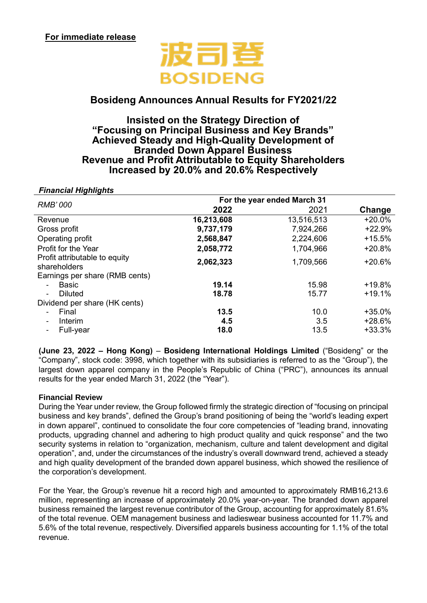

# **Bosideng Announces Annual Results for FY2021/22**

# **Insisted on the Strategy Direction of "Focusing on Principal Business and Key Brands" Achieved Steady and High-Quality Development of Branded Down Apparel Business Revenue and Profit Attributable to Equity Shareholders Increased by 20.0% and 20.6% Respectively**

| <b>Financial Highlights</b>                   |                             |            |          |
|-----------------------------------------------|-----------------------------|------------|----------|
| <b>RMB'000</b>                                | For the year ended March 31 |            |          |
|                                               | 2022                        | 2021       | Change   |
| Revenue                                       | 16,213,608                  | 13,516,513 | $+20.0%$ |
| Gross profit                                  | 9,737,179                   | 7,924,266  | $+22.9%$ |
| Operating profit                              | 2,568,847                   | 2,224,606  | $+15.5%$ |
| Profit for the Year                           | 2,058,772                   | 1,704,966  | $+20.8%$ |
| Profit attributable to equity<br>shareholders | 2,062,323                   | 1,709,566  | $+20.6%$ |
| Earnings per share (RMB cents)                |                             |            |          |
| <b>Basic</b><br>$\blacksquare$                | 19.14                       | 15.98      | +19.8%   |
| <b>Diluted</b><br>$\overline{\phantom{a}}$    | 18.78                       | 15.77      | $+19.1%$ |
| Dividend per share (HK cents)                 |                             |            |          |
| Final<br>$\blacksquare$                       | 13.5                        | 10.0       | $+35.0%$ |
| Interim<br>$\overline{\phantom{a}}$           | 4.5                         | 3.5        | $+28.6%$ |
| Full-year<br>$\qquad \qquad \blacksquare$     | 18.0                        | 13.5       | $+33.3%$ |

**(June 23, 2022 – Hong Kong)** – **Bosideng International Holdings Limited** ("Bosideng" or the "Company", stock code: 3998, which together with its subsidiaries is referred to as the "Group"), the largest down apparel company in the People's Republic of China ("PRC"), announces its annual results for the year ended March 31, 2022 (the "Year").

## **Financial Review**

During the Year under review, the Group followed firmly the strategic direction of "focusing on principal business and key brands", defined the Group's brand positioning of being the "world's leading expert in down apparel", continued to consolidate the four core competencies of "leading brand, innovating products, upgrading channel and adhering to high product quality and quick response" and the two security systems in relation to "organization, mechanism, culture and talent development and digital operation", and, under the circumstances of the industry's overall downward trend, achieved a steady and high quality development of the branded down apparel business, which showed the resilience of the corporation's development.

For the Year, the Group's revenue hit a record high and amounted to approximately RMB16,213.6 million, representing an increase of approximately 20.0% year-on-year. The branded down apparel business remained the largest revenue contributor of the Group, accounting for approximately 81.6% of the total revenue. OEM management business and ladieswear business accounted for 11.7% and 5.6% of the total revenue, respectively. Diversified apparels business accounting for 1.1% of the total revenue.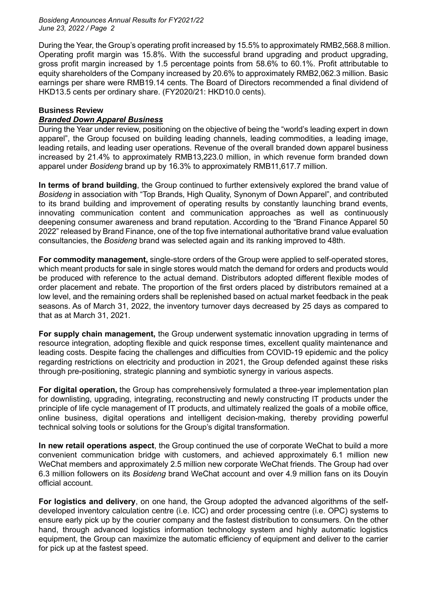During the Year, the Group's operating profit increased by 15.5% to approximately RMB2,568.8 million. Operating profit margin was 15.8%. With the successful brand upgrading and product upgrading, gross profit margin increased by 1.5 percentage points from 58.6% to 60.1%. Profit attributable to equity shareholders of the Company increased by 20.6% to approximately RMB2,062.3 million. Basic earnings per share were RMB19.14 cents. The Board of Directors recommended a final dividend of HKD13.5 cents per ordinary share. (FY2020/21: HKD10.0 cents).

## **Business Review**

# *Branded Down Apparel Business*

During the Year under review, positioning on the objective of being the "world's leading expert in down apparel", the Group focused on building leading channels, leading commodities, a leading image, leading retails, and leading user operations. Revenue of the overall branded down apparel business increased by 21.4% to approximately RMB13,223.0 million, in which revenue form branded down apparel under *Bosideng* brand up by 16.3% to approximately RMB11,617.7 million.

**In terms of brand building**, the Group continued to further extensively explored the brand value of *Bosideng* in association with "Top Brands, High Quality, Synonym of Down Apparel", and contributed to its brand building and improvement of operating results by constantly launching brand events, innovating communication content and communication approaches as well as continuously deepening consumer awareness and brand reputation. According to the "Brand Finance Apparel 50 2022" released by Brand Finance, one of the top five international authoritative brand value evaluation consultancies, the *Bosideng* brand was selected again and its ranking improved to 48th.

**For commodity management,** single-store orders of the Group were applied to self-operated stores, which meant products for sale in single stores would match the demand for orders and products would be produced with reference to the actual demand. Distributors adopted different flexible modes of order placement and rebate. The proportion of the first orders placed by distributors remained at a low level, and the remaining orders shall be replenished based on actual market feedback in the peak seasons. As of March 31, 2022, the inventory turnover days decreased by 25 days as compared to that as at March 31, 2021.

**For supply chain management,** the Group underwent systematic innovation upgrading in terms of resource integration, adopting flexible and quick response times, excellent quality maintenance and leading costs. Despite facing the challenges and difficulties from COVID-19 epidemic and the policy regarding restrictions on electricity and production in 2021, the Group defended against these risks through pre-positioning, strategic planning and symbiotic synergy in various aspects.

**For digital operation,** the Group has comprehensively formulated a three-year implementation plan for downlisting, upgrading, integrating, reconstructing and newly constructing IT products under the principle of life cycle management of IT products, and ultimately realized the goals of a mobile office, online business, digital operations and intelligent decision-making, thereby providing powerful technical solving tools or solutions for the Group's digital transformation.

**In new retail operations aspect**, the Group continued the use of corporate WeChat to build a more convenient communication bridge with customers, and achieved approximately 6.1 million new WeChat members and approximately 2.5 million new corporate WeChat friends. The Group had over 6.3 million followers on its *Bosideng* brand WeChat account and over 4.9 million fans on its Douyin official account.

**For logistics and delivery**, on one hand, the Group adopted the advanced algorithms of the selfdeveloped inventory calculation centre (i.e. ICC) and order processing centre (i.e. OPC) systems to ensure early pick up by the courier company and the fastest distribution to consumers. On the other hand, through advanced logistics information technology system and highly automatic logistics equipment, the Group can maximize the automatic efficiency of equipment and deliver to the carrier for pick up at the fastest speed.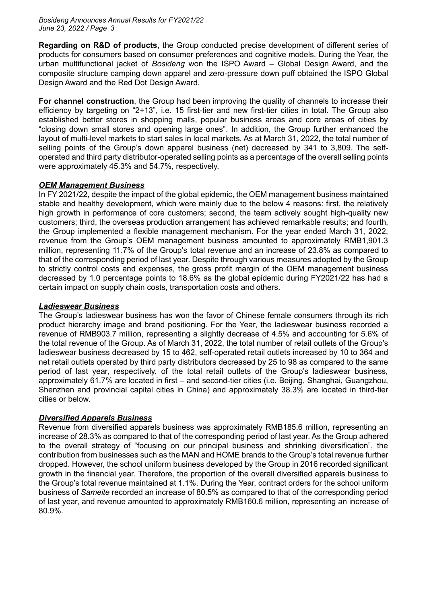**Regarding on R&D of products**, the Group conducted precise development of different series of products for consumers based on consumer preferences and cognitive models. During the Year, the urban multifunctional jacket of *Bosideng* won the ISPO Award – Global Design Award, and the composite structure camping down apparel and zero-pressure down puff obtained the ISPO Global Design Award and the Red Dot Design Award.

**For channel construction**, the Group had been improving the quality of channels to increase their efficiency by targeting on "2+13", i.e. 15 first-tier and new first-tier cities in total. The Group also established better stores in shopping malls, popular business areas and core areas of cities by "closing down small stores and opening large ones". In addition, the Group further enhanced the layout of multi-level markets to start sales in local markets. As at March 31, 2022, the total number of selling points of the Group's down apparel business (net) decreased by 341 to 3,809. The selfoperated and third party distributor-operated selling points as a percentage of the overall selling points were approximately 45.3% and 54.7%, respectively.

# *OEM Management Business*

In FY 2021/22, despite the impact of the global epidemic, the OEM management business maintained stable and healthy development, which were mainly due to the below 4 reasons: first, the relatively high growth in performance of core customers; second, the team actively sought high-quality new customers; third, the overseas production arrangement has achieved remarkable results; and fourth, the Group implemented a flexible management mechanism. For the year ended March 31, 2022, revenue from the Group's OEM management business amounted to approximately RMB1,901.3 million, representing 11.7% of the Group's total revenue and an increase of 23.8% as compared to that of the corresponding period of last year. Despite through various measures adopted by the Group to strictly control costs and expenses, the gross profit margin of the OEM management business decreased by 1.0 percentage points to 18.6% as the global epidemic during FY2021/22 has had a certain impact on supply chain costs, transportation costs and others.

# *Ladieswear Business*

The Group's ladieswear business has won the favor of Chinese female consumers through its rich product hierarchy image and brand positioning. For the Year, the ladieswear business recorded a revenue of RMB903.7 million, representing a slightly decrease of 4.5% and accounting for 5.6% of the total revenue of the Group. As of March 31, 2022, the total number of retail outlets of the Group's ladieswear business decreased by 15 to 462, self-operated retail outlets increased by 10 to 364 and net retail outlets operated by third party distributors decreased by 25 to 98 as compared to the same period of last year, respectively. of the total retail outlets of the Group's ladieswear business, approximately 61.7% are located in first – and second-tier cities (i.e. Beijing, Shanghai, Guangzhou, Shenzhen and provincial capital cities in China) and approximately 38.3% are located in third-tier cities or below.

# *Diversified Apparels Business*

Revenue from diversified apparels business was approximately RMB185.6 million, representing an increase of 28.3% as compared to that of the corresponding period of last year. As the Group adhered to the overall strategy of "focusing on our principal business and shrinking diversification", the contribution from businesses such as the MAN and HOME brands to the Group's total revenue further dropped. However, the school uniform business developed by the Group in 2016 recorded significant growth in the financial year. Therefore, the proportion of the overall diversified apparels business to the Group's total revenue maintained at 1.1%. During the Year, contract orders for the school uniform business of *Sameite* recorded an increase of 80.5% as compared to that of the corresponding period of last year, and revenue amounted to approximately RMB160.6 million, representing an increase of 80.9%.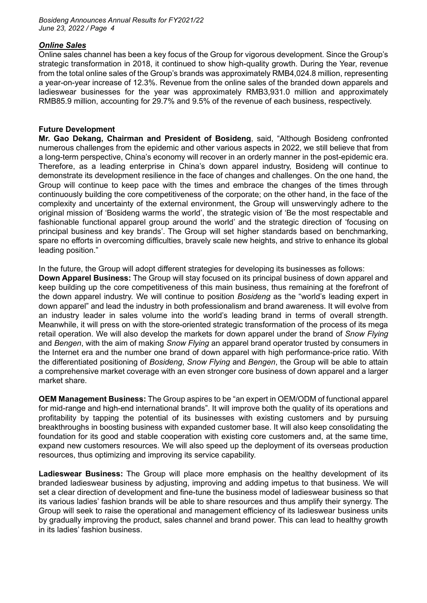# *Online Sales*

Online sales channel has been a key focus of the Group for vigorous development. Since the Group's strategic transformation in 2018, it continued to show high-quality growth. During the Year, revenue from the total online sales of the Group's brands was approximately RMB4,024.8 million, representing a year-on-year increase of 12.3%. Revenue from the online sales of the branded down apparels and ladieswear businesses for the year was approximately RMB3,931.0 million and approximately RMB85.9 million, accounting for 29.7% and 9.5% of the revenue of each business, respectively.

# **Future Development**

**Mr. Gao Dekang, Chairman and President of Bosideng**, said, "Although Bosideng confronted numerous challenges from the epidemic and other various aspects in 2022, we still believe that from a long-term perspective, China's economy will recover in an orderly manner in the post-epidemic era. Therefore, as a leading enterprise in China's down apparel industry, Bosideng will continue to demonstrate its development resilience in the face of changes and challenges. On the one hand, the Group will continue to keep pace with the times and embrace the changes of the times through continuously building the core competitiveness of the corporate; on the other hand, in the face of the complexity and uncertainty of the external environment, the Group will unswervingly adhere to the original mission of 'Bosideng warms the world', the strategic vision of 'Be the most respectable and fashionable functional apparel group around the world' and the strategic direction of 'focusing on principal business and key brands'. The Group will set higher standards based on benchmarking, spare no efforts in overcoming difficulties, bravely scale new heights, and strive to enhance its global leading position."

In the future, the Group will adopt different strategies for developing its businesses as follows:

**Down Apparel Business:** The Group will stay focused on its principal business of down apparel and keep building up the core competitiveness of this main business, thus remaining at the forefront of the down apparel industry. We will continue to position *Bosideng* as the "world's leading expert in down apparel" and lead the industry in both professionalism and brand awareness. It will evolve from an industry leader in sales volume into the world's leading brand in terms of overall strength. Meanwhile, it will press on with the store-oriented strategic transformation of the process of its mega retail operation. We will also develop the markets for down apparel under the brand of *Snow Flying* and *Bengen*, with the aim of making *Snow Flying* an apparel brand operator trusted by consumers in the Internet era and the number one brand of down apparel with high performance-price ratio. With the differentiated positioning of *Bosideng*, *Snow Flying* and *Bengen*, the Group will be able to attain a comprehensive market coverage with an even stronger core business of down apparel and a larger market share.

**OEM Management Business:** The Group aspires to be "an expert in OEM/ODM of functional apparel for mid-range and high-end international brands". It will improve both the quality of its operations and profitability by tapping the potential of its businesses with existing customers and by pursuing breakthroughs in boosting business with expanded customer base. It will also keep consolidating the foundation for its good and stable cooperation with existing core customers and, at the same time, expand new customers resources. We will also speed up the deployment of its overseas production resources, thus optimizing and improving its service capability.

**Ladieswear Business:** The Group will place more emphasis on the healthy development of its branded ladieswear business by adjusting, improving and adding impetus to that business. We will set a clear direction of development and fine-tune the business model of ladieswear business so that its various ladies' fashion brands will be able to share resources and thus amplify their synergy. The Group will seek to raise the operational and management efficiency of its ladieswear business units by gradually improving the product, sales channel and brand power. This can lead to healthy growth in its ladies' fashion business.